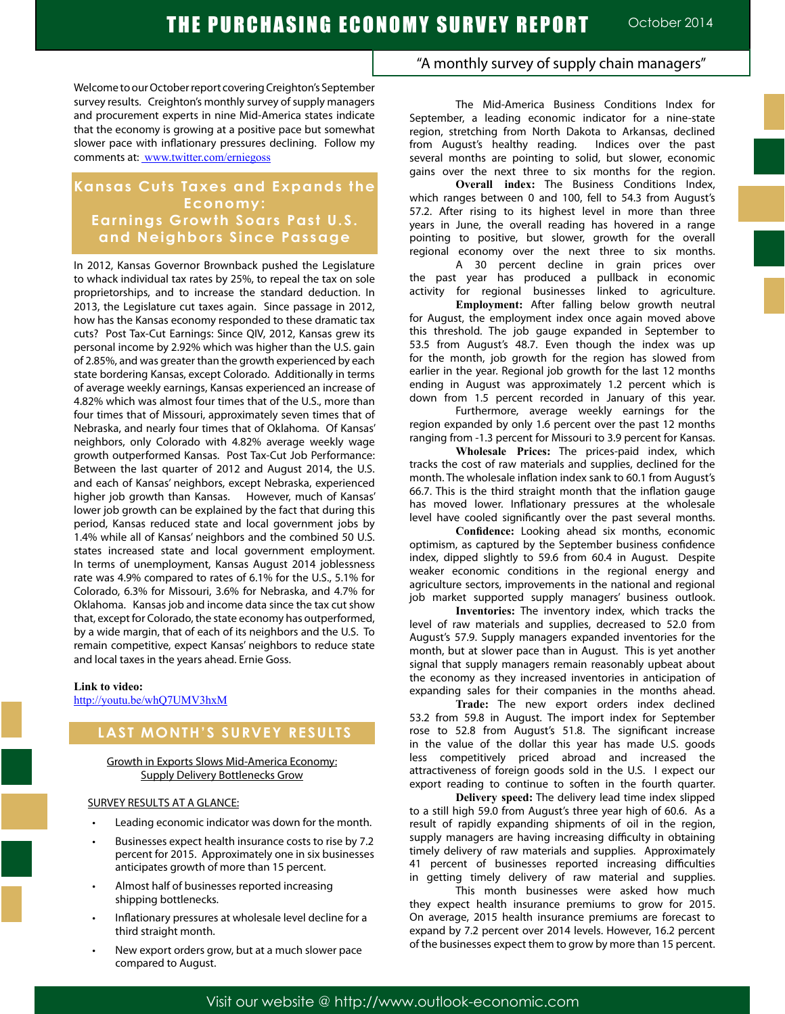Welcome to our October report covering Creighton's September survey results. Creighton's monthly survey of supply managers and procurement experts in nine Mid-America states indicate that the economy is growing at a positive pace but somewhat slower pace with inflationary pressures declining. Follow my comments at: www.twitter.com/erniegoss

# **Kansas Cuts Taxes and Expands the Economy: Earnings Growth Soars Past U.S. and Neighbors Since Passage**

In 2012, Kansas Governor Brownback pushed the Legislature to whack individual tax rates by 25%, to repeal the tax on sole proprietorships, and to increase the standard deduction. In 2013, the Legislature cut taxes again. Since passage in 2012, how has the Kansas economy responded to these dramatic tax cuts? Post Tax-Cut Earnings: Since QIV, 2012, Kansas grew its personal income by 2.92% which was higher than the U.S. gain of 2.85%, and was greater than the growth experienced by each state bordering Kansas, except Colorado. Additionally in terms of average weekly earnings, Kansas experienced an increase of 4.82% which was almost four times that of the U.S., more than four times that of Missouri, approximately seven times that of Nebraska, and nearly four times that of Oklahoma. Of Kansas' neighbors, only Colorado with 4.82% average weekly wage growth outperformed Kansas. Post Tax-Cut Job Performance: Between the last quarter of 2012 and August 2014, the U.S. and each of Kansas' neighbors, except Nebraska, experienced higher job growth than Kansas. However, much of Kansas' lower job growth can be explained by the fact that during this period, Kansas reduced state and local government jobs by 1.4% while all of Kansas' neighbors and the combined 50 U.S. states increased state and local government employment. In terms of unemployment, Kansas August 2014 joblessness rate was 4.9% compared to rates of 6.1% for the U.S., 5.1% for Colorado, 6.3% for Missouri, 3.6% for Nebraska, and 4.7% for Oklahoma. Kansas job and income data since the tax cut show that, except for Colorado, the state economy has outperformed, by a wide margin, that of each of its neighbors and the U.S. To remain competitive, expect Kansas' neighbors to reduce state and local taxes in the years ahead. Ernie Goss.

#### **Link to video:**

http://youtu.be/whQ7UMV3hxM

# **LAST MONTH'S SURVEY RESULTS**

#### Growth in Exports Slows Mid-America Economy: Supply Delivery Bottlenecks Grow

### SURVEY RESULTS AT A GLANCE:

- Leading economic indicator was down for the month.
- Businesses expect health insurance costs to rise by 7.2 percent for 2015. Approximately one in six businesses anticipates growth of more than 15 percent.
- Almost half of businesses reported increasing shipping bottlenecks.
- Inflationary pressures at wholesale level decline for a third straight month.
- New export orders grow, but at a much slower pace compared to August.

## "A monthly survey of supply chain managers"

The Mid-America Business Conditions Index for September, a leading economic indicator for a nine-state region, stretching from North Dakota to Arkansas, declined from August's healthy reading. Indices over the past several months are pointing to solid, but slower, economic gains over the next three to six months for the region.

**Overall index:** The Business Conditions Index, which ranges between 0 and 100, fell to 54.3 from August's 57.2. After rising to its highest level in more than three years in June, the overall reading has hovered in a range pointing to positive, but slower, growth for the overall regional economy over the next three to six months.

A 30 percent decline in grain prices over the past year has produced a pullback in economic activity for regional businesses linked to agriculture.

**Employment:** After falling below growth neutral for August, the employment index once again moved above this threshold. The job gauge expanded in September to 53.5 from August's 48.7. Even though the index was up for the month, job growth for the region has slowed from earlier in the year. Regional job growth for the last 12 months ending in August was approximately 1.2 percent which is down from 1.5 percent recorded in January of this year.

Furthermore, average weekly earnings for the region expanded by only 1.6 percent over the past 12 months ranging from -1.3 percent for Missouri to 3.9 percent for Kansas.

**Wholesale Prices:** The prices-paid index, which tracks the cost of raw materials and supplies, declined for the month. The wholesale inflation index sank to 60.1 from August's 66.7. This is the third straight month that the inflation gauge has moved lower. Inflationary pressures at the wholesale level have cooled significantly over the past several months.

**Confidence:** Looking ahead six months, economic optimism, as captured by the September business confidence index, dipped slightly to 59.6 from 60.4 in August. Despite weaker economic conditions in the regional energy and agriculture sectors, improvements in the national and regional job market supported supply managers' business outlook.

**Inventories:** The inventory index, which tracks the level of raw materials and supplies, decreased to 52.0 from August's 57.9. Supply managers expanded inventories for the month, but at slower pace than in August. This is yet another signal that supply managers remain reasonably upbeat about the economy as they increased inventories in anticipation of expanding sales for their companies in the months ahead.

**Trade:** The new export orders index declined 53.2 from 59.8 in August. The import index for September rose to 52.8 from August's 51.8. The significant increase in the value of the dollar this year has made U.S. goods less competitively priced abroad and increased the attractiveness of foreign goods sold in the U.S. I expect our export reading to continue to soften in the fourth quarter.

**Delivery speed:** The delivery lead time index slipped to a still high 59.0 from August's three year high of 60.6. As a result of rapidly expanding shipments of oil in the region, supply managers are having increasing difficulty in obtaining timely delivery of raw materials and supplies. Approximately 41 percent of businesses reported increasing difficulties in getting timely delivery of raw material and supplies.

This month businesses were asked how much they expect health insurance premiums to grow for 2015. On average, 2015 health insurance premiums are forecast to expand by 7.2 percent over 2014 levels. However, 16.2 percent of the businesses expect them to grow by more than 15 percent.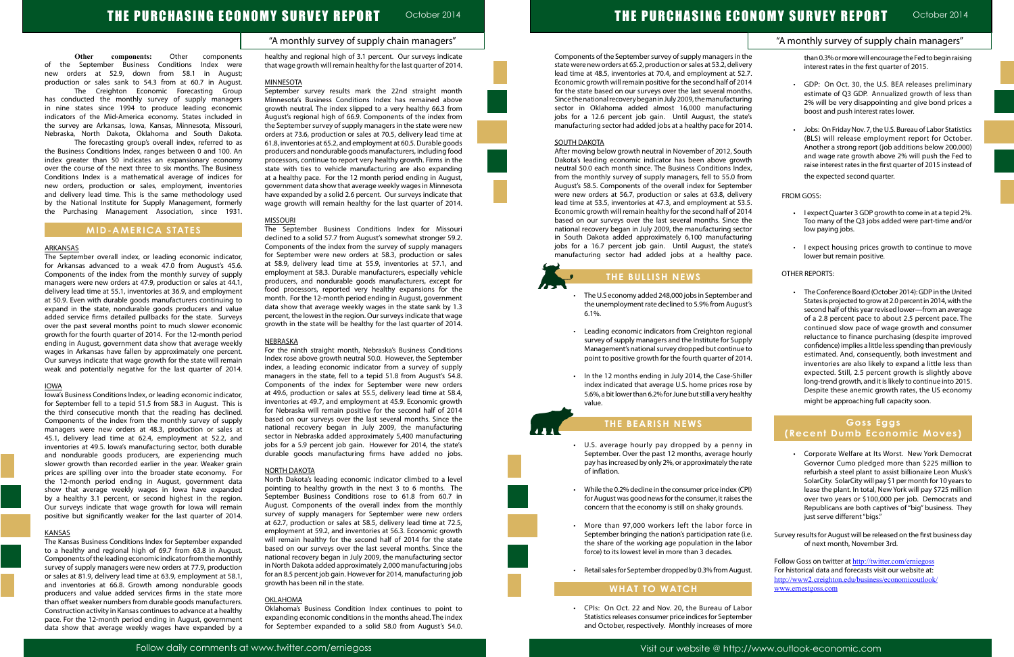## "A monthly survey of supply chain managers"

**Other components:** Other components of the September Business Conditions Index were new orders at 52.9, down from 58.1 in August; production or sales sank to 54.3 from at 60.7 in August.

The Creighton Economic Forecasting Group has conducted the monthly survey of supply managers in nine states since 1994 to produce leading economic indicators of the Mid-America economy. States included in the survey are Arkansas, Iowa, Kansas, Minnesota, Missouri, Nebraska, North Dakota, Oklahoma and South Dakota.

The forecasting group's overall index, referred to as the Business Conditions Index, ranges between 0 and 100. An index greater than 50 indicates an expansionary economy over the course of the next three to six months. The Business Conditions Index is a mathematical average of indices for new orders, production or sales, employment, inventories and delivery lead time. This is the same methodology used by the National Institute for Supply Management, formerly the Purchasing Management Association, since 1931.

## **MID-AMERICA STATES**

#### **ARKANSAS**

The September overall index, or leading economic indicator, for Arkansas advanced to a weak 47.0 from August's 45.6. Components of the index from the monthly survey of supply managers were new orders at 47.9, production or sales at 44.1, delivery lead time at 55.1, inventories at 36.9, and employment at 50.9. Even with durable goods manufacturers continuing to expand in the state, nondurable goods producers and value added service firms detailed pullbacks for the state. Surveys over the past several months point to much slower economic growth for the fourth quarter of 2014. For the 12-month period ending in August, government data show that average weekly wages in Arkansas have fallen by approximately one percent. Our surveys indicate that wage growth for the state will remain weak and potentially negative for the last quarter of 2014.

#### IOWA

Iowa's Business Conditions Index, or leading economic indicator, for September fell to a tepid 51.5 from 58.3 in August. This is the third consecutive month that the reading has declined. Components of the index from the monthly survey of supply managers were new orders at 48.3, production or sales at 45.1, delivery lead time at 62.4, employment at 52.2, and inventories at 49.5. Iowa's manufacturing sector, both durable and nondurable goods producers, are experiencing much slower growth than recorded earlier in the year. Weaker grain prices are spilling over into the broader state economy. For the 12-month period ending in August, government data show that average weekly wages in Iowa have expanded by a healthy 3.1 percent, or second highest in the region. Our surveys indicate that wage growth for Iowa will remain positive but significantly weaker for the last quarter of 2014.

#### KANSAS

The Kansas Business Conditions Index for September expanded to a healthy and regional high of 69.7 from 63.8 in August. Components of the leading economic indicator from the monthly survey of supply managers were new orders at 77.9, production or sales at 81.9, delivery lead time at 63.9, employment at 58.1, and inventories at 66.8. Growth among nondurable goods producers and value added services firms in the state more than offset weaker numbers from durable goods manufacturers. Construction activity in Kansas continues to advance at a healthy pace. For the 12-month period ending in August, government data show that average weekly wages have expanded by a healthy and regional high of 3.1 percent. Our surveys indicate that wage growth will remain healthy for the last quarter of 2014.

#### MINNESOTA

September survey results mark the 22nd straight month Minnesota's Business Conditions Index has remained above growth neutral. The index slipped to a very healthy 66.3 from August's regional high of 66.9. Components of the index from the September survey of supply managers in the state were new orders at 73.6, production or sales at 70.5, delivery lead time at 61.8, inventories at 65.2, and employment at 60.5. Durable goods producers and nondurable goods manufacturers, including food processors, continue to report very healthy growth. Firms in the state with ties to vehicle manufacturing are also expanding at a healthy pace. For the 12 month period ending in August, government data show that average weekly wages in Minnesota have expanded by a solid 2.6 percent. Our surveys indicate that wage growth will remain healthy for the last quarter of 2014.

- The U.S economy added 248,000 jobs in September the unemployment rate declined to 5.9% from Augu 6.1%.
- Leading economic indicators from Creighton regional survey of supply managers and the Institute for Sup Management's national survey dropped but continu point to positive growth for the fourth quarter of 20
- In the 12 months ending in July 2014, the Case-Shiller index indicated that average U.S. home prices rose 5.6%, a bit lower than 6.2% for June but still a very hea value.

#### MISSOURI

- U.S. average hourly pay dropped by a penny September. Over the past 12 months, average ho pay has increased by only 2%, or approximately the rate of inflation.
- • While the 0.2% decline in the consumer price index (CPI) for August was good news for the consumer, it raises the concern that the economy is still on shaky grounds.
- • More than 97,000 workers left the labor force in September bringing the nation's participation rate (i.e. the share of the working age population in the labor force) to its lowest level in more than 3 decades.
- • Retail sales for September dropped by 0.3% from August.

The September Business Conditions Index for Missouri declined to a solid 57.7 from August's somewhat stronger 59.2. Components of the index from the survey of supply managers for September were new orders at 58.3, production or sales at 58.9, delivery lead time at 55.9, inventories at 57.1, and employment at 58.3. Durable manufacturers, especially vehicle producers, and nondurable goods manufacturers, except for food processors, reported very healthy expansions for the month. For the 12-month period ending in August, government data show that average weekly wages in the state sank by 1.3 percent, the lowest in the region. Our surveys indicate that wage growth in the state will be healthy for the last quarter of 2014.

#### NEBRASKA

|                      | "A monthly survey of supply chain managers"                                                                            |
|----------------------|------------------------------------------------------------------------------------------------------------------------|
| the                  | than 0.3% or more will encourage the Fed to begin raising                                                              |
| <i>v</i> ery<br>،2.7 | interest rates in the first quarter of 2015.                                                                           |
| 014                  | GDP: On Oct. 30, the U.S. BEA releases preliminary<br>$\bullet$                                                        |
| ıths.                | estimate of Q3 GDP. Annualized growth of less than                                                                     |
| ring                 | 2% will be very disappointing and give bond prices a                                                                   |
| ring<br>ate's        | boost and push interest rates lower.                                                                                   |
| 014.                 |                                                                                                                        |
|                      | Jobs: On Friday Nov. 7, the U.S. Bureau of Labor Statistics<br>(BLS) will release employment report for October.       |
| չսth                 | Another a strong report (job additions below 200.000)<br>and wage rate growth above 2% will push the Fed to            |
| wth                  | raise interest rates in the first quarter of 2015 instead of                                                           |
| dex,                 | the expected second quarter.                                                                                           |
| rom<br>າber          |                                                                                                                        |
| <i>v</i> ery         | <b>FROM GOSS:</b>                                                                                                      |
| i3.5.                |                                                                                                                        |
| 014                  | I expect Quarter 3 GDP growth to come in at a tepid 2%.                                                                |
| the                  | Too many of the Q3 jobs added were part-time and/or                                                                    |
| ctor                 | low paying jobs.                                                                                                       |
| ring<br>ate's        |                                                                                                                        |
| ace.                 | I expect housing prices growth to continue to move<br>۰<br>lower but remain positive.                                  |
|                      | OTHER REPORTS:                                                                                                         |
|                      |                                                                                                                        |
| and                  | The Conference Board (October 2014): GDP in the United<br>٠                                                            |
| ust's                | States is projected to grow at 2.0 percent in 2014, with the<br>second half of this year revised lower-from an average |
|                      | of a 2.8 percent pace to about 2.5 percent pace. The                                                                   |
| onal                 | continued slow pace of wage growth and consumer                                                                        |
| pply                 | reluctance to finance purchasing (despite improved                                                                     |
| ie to                | confidence) implies a little less spending than previously                                                             |
| 014.                 | estimated. And, consequently, both investment and<br>inventories are also likely to expand a little less than          |
| iller                | expected. Still, 2.5 percent growth is slightly above                                                                  |
| e pv                 | long-trend growth, and it is likely to continue into 2015.                                                             |
| lthy                 | Despite these anemic growth rates, the US economy                                                                      |
|                      | might be approaching full capacity soon.                                                                               |
|                      | <b>Goss Eggs</b>                                                                                                       |
|                      | (Recent Dumb Economic Moves)                                                                                           |
| y in<br>urly         | Corporate Welfare at Its Worst. New York Democrat                                                                      |

For the ninth straight month, Nebraska's Business Conditions Index rose above growth neutral 50.0. However, the September index, a leading economic indicator from a survey of supply managers in the state, fell to a tepid 51.8 from August's 54.8. Components of the index for September were new orders at 49.6, production or sales at 55.5, delivery lead time at 58.4, inventories at 49.7, and employment at 45.9. Economic growth for Nebraska will remain positive for the second half of 2014 based on our surveys over the last several months. Since the national recovery began in July 2009, the manufacturing sector in Nebraska added approximately 5,400 manufacturing jobs for a 5.9 percent job gain. However for 2014, the state's durable goods manufacturing firms have added no jobs.

> Follow Goss on twitter at http://twitter.com/erniegoss For historical data and forecasts visit our website at: http://www2.creighton.edu/business/economicoutlook/ www.ernestgoss.com

#### NORTH DAKOTA

North Dakota's leading economic indicator climbed to a level pointing to healthy growth in the next 3 to 6 months. The September Business Conditions rose to 61.8 from 60.7 in August. Components of the overall index from the monthly survey of supply managers for September were new orders at 62.7, production or sales at 58.5, delivery lead time at 72.5, employment at 59.2, and inventories at 56.3. Economic growth will remain healthy for the second half of 2014 for the state based on our surveys over the last several months. Since the national recovery began in July 2009, the manufacturing sector in North Dakota added approximately 2,000 manufacturing jobs for an 8.5 percent job gain. However for 2014, manufacturing job growth has been nil in the state.

## OKLAHOMA

Oklahoma's Business Condition Index continues to point to expanding economic conditions in the months ahead. The index for September expanded to a solid 58.0 from August's 54.0.



#### SOUTH DAKOTA

After moving below growth neutral in November of 2012, So Dakota's leading economic indicator has been above grow neutral 50.0 each month since. The Business Conditions Ind from the monthly survey of supply managers, fell to 55.0 from August's 58.5. Components of the overall index for Septem were new orders at 56.7, production or sales at 63.8, deliver lead time at 53.5, inventories at 47.3, and employment at 5 Economic growth will remain healthy for the second half of 2 based on our surveys over the last several months. Since national recovery began in July 2009, the manufacturing see in South Dakota added approximately 6,100 manufactur jobs for a 16.7 percent job gain. Until August, the sta manufacturing sector had added jobs at a healthy pa

# **THE BULLISH NEWS**

# **THE BEARISH NEWS**

## **WHAT TO WATCH**

Ĩ

 • CPIs: On Oct. 22 and Nov. 20, the Bureau of Labor Statistics releases consumer price indices for September and October, respectively. Monthly increases of more

- Governor Cumo pledged more than \$225 million to refurbish a steel plant to assist billionaire Leon Musk's SolarCity. SolarCity will pay \$1 per month for 10 years to lease the plant. In total, New York will pay \$725 million over two years or \$100,000 per job. Democrats and Republicans are both captives of "big" business. They just serve different "bigs."
- Survey results for August will be released on the first business day of next month, November 3rd.